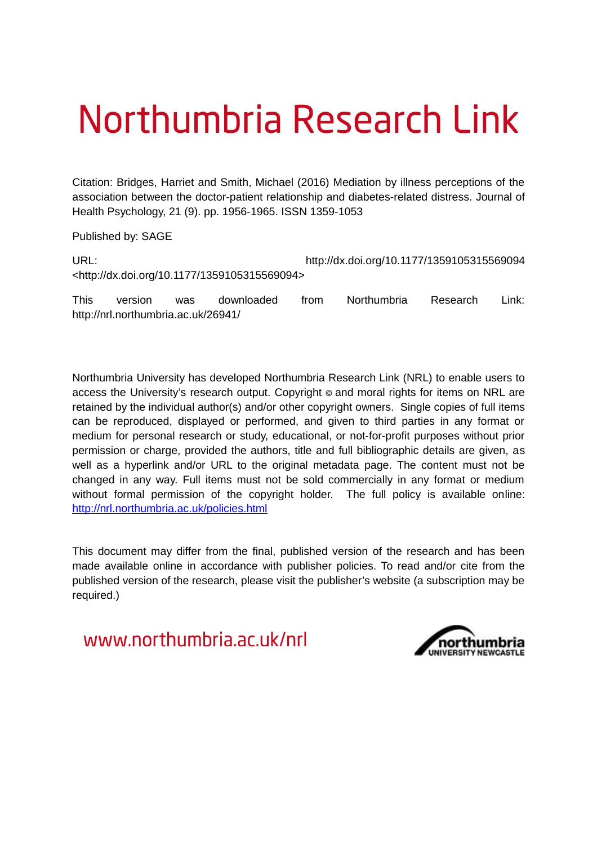# Northumbria Research Link

Citation: Bridges, Harriet and Smith, Michael (2016) Mediation by illness perceptions of the association between the doctor-patient relationship and diabetes-related distress. Journal of Health Psychology, 21 (9). pp. 1956-1965. ISSN 1359-1053

Published by: SAGE

| URL:                                                         | http://dx.doi.org/10.1177/1359105315569094 |
|--------------------------------------------------------------|--------------------------------------------|
| <http: 10.1177="" 1359105315569094="" dx.doi.org=""></http:> |                                            |

This version was downloaded from Northumbria Research Link: http://nrl.northumbria.ac.uk/26941/

Northumbria University has developed Northumbria Research Link (NRL) to enable users to access the University's research output. Copyright  $\circ$  and moral rights for items on NRL are retained by the individual author(s) and/or other copyright owners. Single copies of full items can be reproduced, displayed or performed, and given to third parties in any format or medium for personal research or study, educational, or not-for-profit purposes without prior permission or charge, provided the authors, title and full bibliographic details are given, as well as a hyperlink and/or URL to the original metadata page. The content must not be changed in any way. Full items must not be sold commercially in any format or medium without formal permission of the copyright holder. The full policy is available online: <http://nrl.northumbria.ac.uk/policies.html>

This document may differ from the final, published version of the research and has been made available online in accordance with publisher policies. To read and/or cite from the published version of the research, please visit the publisher's website (a subscription may be required.)

www.northumbria.ac.uk/nrl

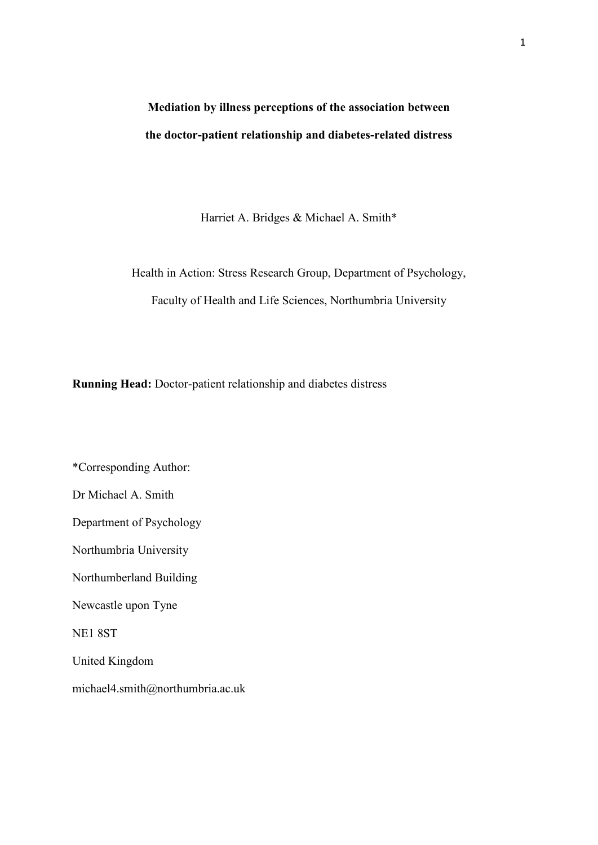# **Mediation by illness perceptions of the association between the doctor-patient relationship and diabetes-related distress**

Harriet A. Bridges & Michael A. Smith\*

Health in Action: Stress Research Group, Department of Psychology, Faculty of Health and Life Sciences, Northumbria University

**Running Head:** Doctor-patient relationship and diabetes distress

\*Corresponding Author: Dr Michael A. Smith Department of Psychology Northumbria University Northumberland Building Newcastle upon Tyne NE1 8ST United Kingdom michael4.smith@northumbria.ac.uk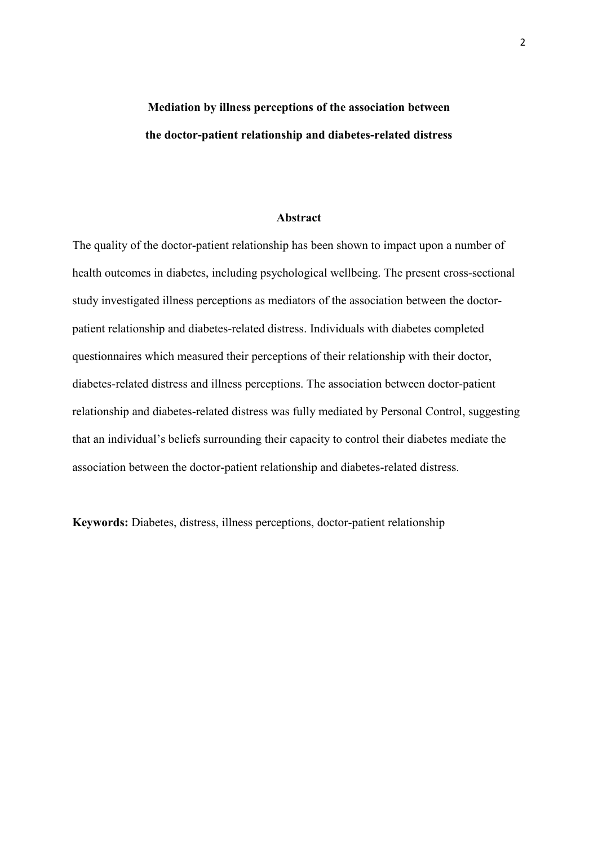# **Mediation by illness perceptions of the association between the doctor-patient relationship and diabetes-related distress**

#### **Abstract**

The quality of the doctor-patient relationship has been shown to impact upon a number of health outcomes in diabetes, including psychological wellbeing. The present cross-sectional study investigated illness perceptions as mediators of the association between the doctorpatient relationship and diabetes-related distress. Individuals with diabetes completed questionnaires which measured their perceptions of their relationship with their doctor, diabetes-related distress and illness perceptions. The association between doctor-patient relationship and diabetes-related distress was fully mediated by Personal Control, suggesting that an individual's beliefs surrounding their capacity to control their diabetes mediate the association between the doctor-patient relationship and diabetes-related distress.

**Keywords:** Diabetes, distress, illness perceptions, doctor-patient relationship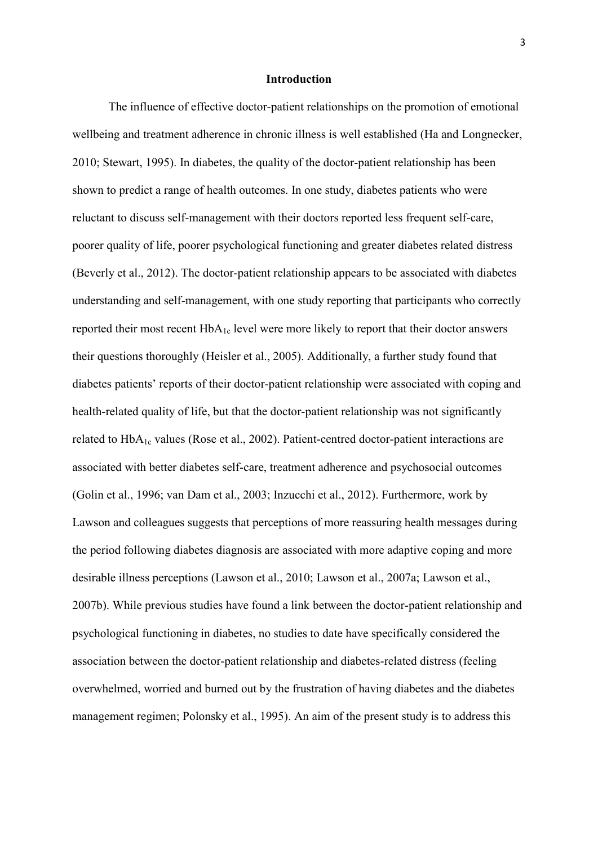#### **Introduction**

The influence of effective doctor-patient relationships on the promotion of emotional wellbeing and treatment adherence in chronic illness is well established (Ha and Longnecker, 2010; Stewart, 1995). In diabetes, the quality of the doctor-patient relationship has been shown to predict a range of health outcomes. In one study, diabetes patients who were reluctant to discuss self-management with their doctors reported less frequent self-care, poorer quality of life, poorer psychological functioning and greater diabetes related distress (Beverly et al., 2012). The doctor-patient relationship appears to be associated with diabetes understanding and self-management, with one study reporting that participants who correctly reported their most recent HbA1c level were more likely to report that their doctor answers their questions thoroughly (Heisler et al., 2005). Additionally, a further study found that diabetes patients' reports of their doctor-patient relationship were associated with coping and health-related quality of life, but that the doctor-patient relationship was not significantly related to  $HbA_{1c}$  values (Rose et al., 2002). Patient-centred doctor-patient interactions are associated with better diabetes self-care, treatment adherence and psychosocial outcomes (Golin et al., 1996; van Dam et al., 2003; Inzucchi et al., 2012). Furthermore, work by Lawson and colleagues suggests that perceptions of more reassuring health messages during the period following diabetes diagnosis are associated with more adaptive coping and more desirable illness perceptions (Lawson et al., 2010; Lawson et al., 2007a; Lawson et al., 2007b). While previous studies have found a link between the doctor-patient relationship and psychological functioning in diabetes, no studies to date have specifically considered the association between the doctor-patient relationship and diabetes-related distress (feeling overwhelmed, worried and burned out by the frustration of having diabetes and the diabetes management regimen; Polonsky et al., 1995). An aim of the present study is to address this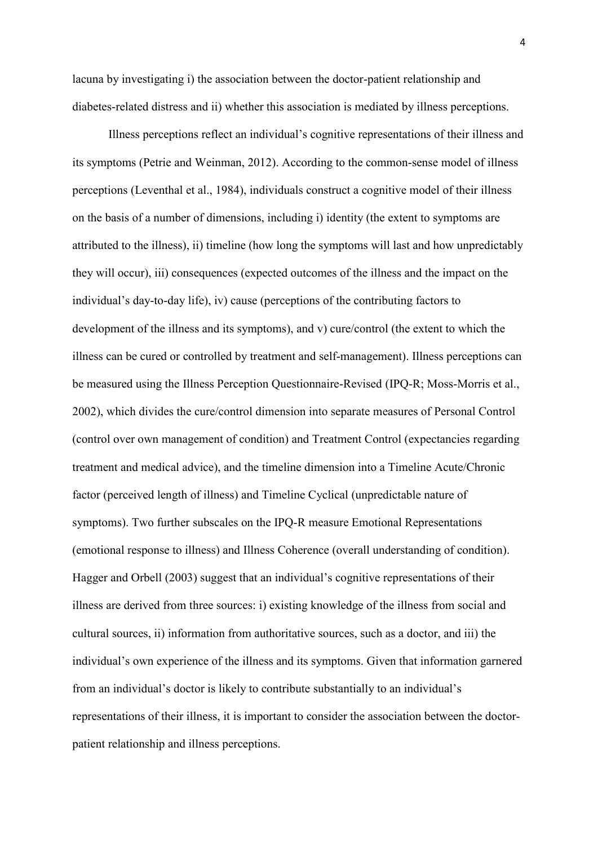lacuna by investigating i) the association between the doctor-patient relationship and diabetes-related distress and ii) whether this association is mediated by illness perceptions.

Illness perceptions reflect an individual's cognitive representations of their illness and its symptoms (Petrie and Weinman, 2012). According to the common-sense model of illness perceptions (Leventhal et al., 1984), individuals construct a cognitive model of their illness on the basis of a number of dimensions, including i) identity (the extent to symptoms are attributed to the illness), ii) timeline (how long the symptoms will last and how unpredictably they will occur), iii) consequences (expected outcomes of the illness and the impact on the individual's day-to-day life), iv) cause (perceptions of the contributing factors to development of the illness and its symptoms), and v) cure/control (the extent to which the illness can be cured or controlled by treatment and self-management). Illness perceptions can be measured using the Illness Perception Questionnaire-Revised (IPQ-R; Moss-Morris et al., 2002), which divides the cure/control dimension into separate measures of Personal Control (control over own management of condition) and Treatment Control (expectancies regarding treatment and medical advice), and the timeline dimension into a Timeline Acute/Chronic factor (perceived length of illness) and Timeline Cyclical (unpredictable nature of symptoms). Two further subscales on the IPQ-R measure Emotional Representations (emotional response to illness) and Illness Coherence (overall understanding of condition). Hagger and Orbell (2003) suggest that an individual's cognitive representations of their illness are derived from three sources: i) existing knowledge of the illness from social and cultural sources, ii) information from authoritative sources, such as a doctor, and iii) the individual's own experience of the illness and its symptoms. Given that information garnered from an individual's doctor is likely to contribute substantially to an individual's representations of their illness, it is important to consider the association between the doctorpatient relationship and illness perceptions.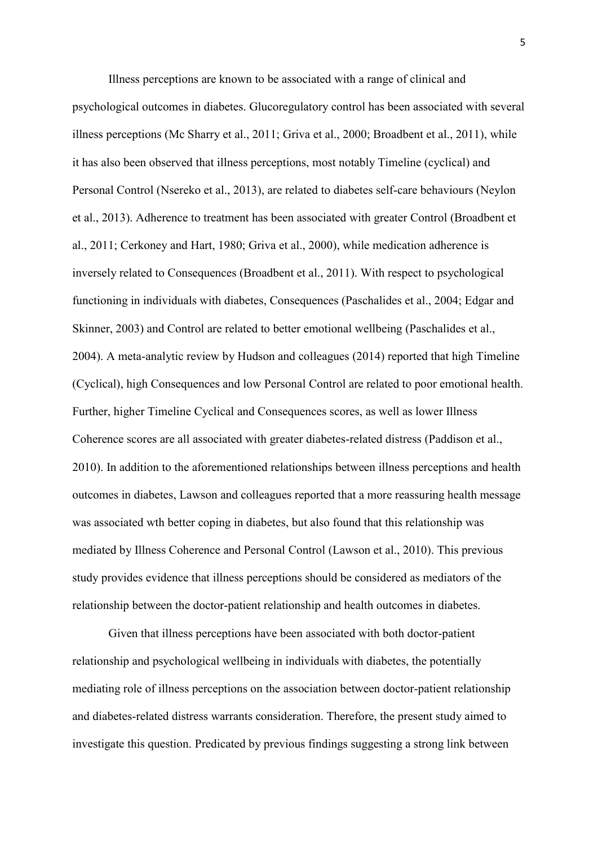Illness perceptions are known to be associated with a range of clinical and psychological outcomes in diabetes. Glucoregulatory control has been associated with several illness perceptions (Mc Sharry et al., 2011; Griva et al., 2000; Broadbent et al., 2011), while it has also been observed that illness perceptions, most notably Timeline (cyclical) and Personal Control (Nsereko et al., 2013), are related to diabetes self-care behaviours (Neylon et al., 2013). Adherence to treatment has been associated with greater Control (Broadbent et al., 2011; Cerkoney and Hart, 1980; Griva et al., 2000), while medication adherence is inversely related to Consequences (Broadbent et al., 2011). With respect to psychological functioning in individuals with diabetes, Consequences (Paschalides et al., 2004; Edgar and Skinner, 2003) and Control are related to better emotional wellbeing (Paschalides et al., 2004). A meta-analytic review by Hudson and colleagues (2014) reported that high Timeline (Cyclical), high Consequences and low Personal Control are related to poor emotional health. Further, higher Timeline Cyclical and Consequences scores, as well as lower Illness Coherence scores are all associated with greater diabetes-related distress (Paddison et al., 2010). In addition to the aforementioned relationships between illness perceptions and health outcomes in diabetes, Lawson and colleagues reported that a more reassuring health message was associated wth better coping in diabetes, but also found that this relationship was mediated by Illness Coherence and Personal Control (Lawson et al., 2010). This previous study provides evidence that illness perceptions should be considered as mediators of the relationship between the doctor-patient relationship and health outcomes in diabetes.

Given that illness perceptions have been associated with both doctor-patient relationship and psychological wellbeing in individuals with diabetes, the potentially mediating role of illness perceptions on the association between doctor-patient relationship and diabetes-related distress warrants consideration. Therefore, the present study aimed to investigate this question. Predicated by previous findings suggesting a strong link between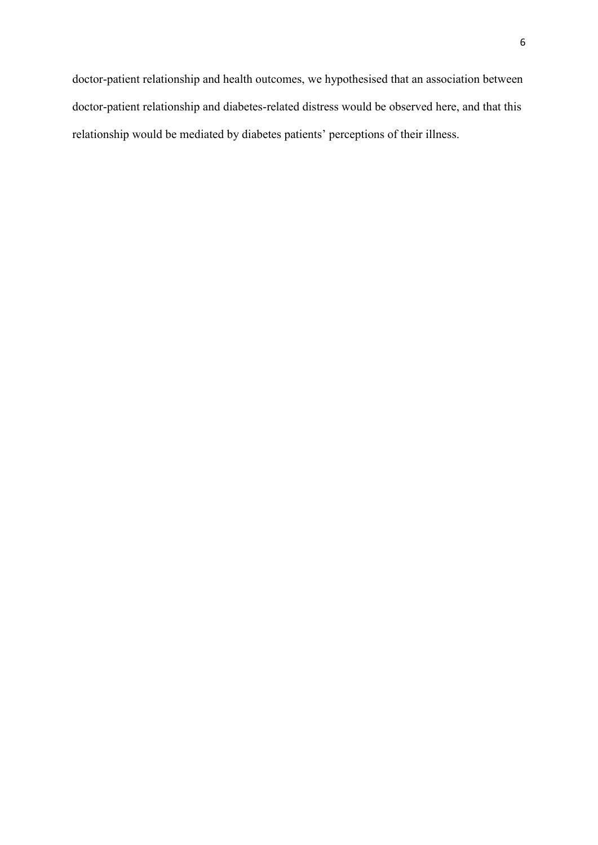doctor-patient relationship and health outcomes, we hypothesised that an association between doctor-patient relationship and diabetes-related distress would be observed here, and that this relationship would be mediated by diabetes patients' perceptions of their illness.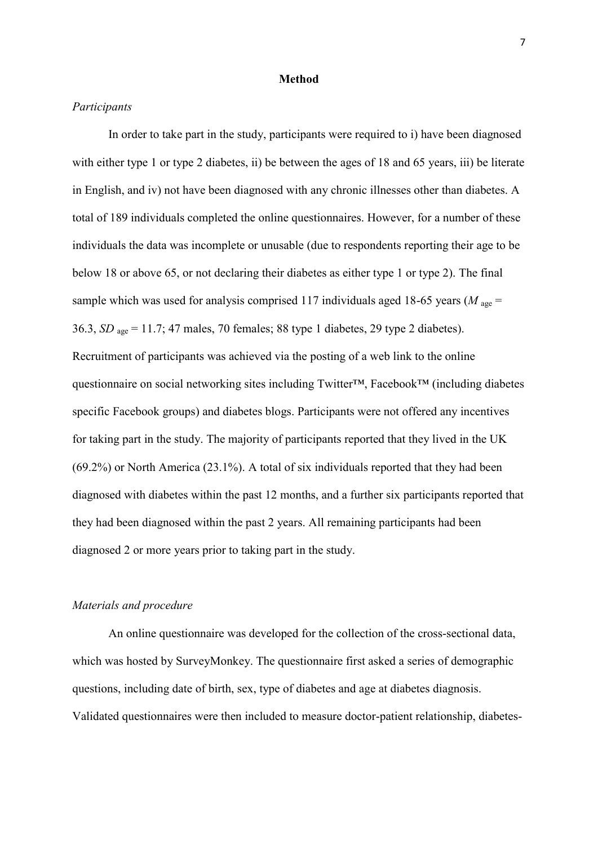#### **Method**

#### *Participants*

 In order to take part in the study, participants were required to i) have been diagnosed with either type 1 or type 2 diabetes, ii) be between the ages of 18 and 65 years, iii) be literate in English, and iv) not have been diagnosed with any chronic illnesses other than diabetes. A total of 189 individuals completed the online questionnaires. However, for a number of these individuals the data was incomplete or unusable (due to respondents reporting their age to be below 18 or above 65, or not declaring their diabetes as either type 1 or type 2). The final sample which was used for analysis comprised 117 individuals aged 18-65 years ( $M_{\text{age}}$  = 36.3, *SD* age = 11.7; 47 males, 70 females; 88 type 1 diabetes, 29 type 2 diabetes). Recruitment of participants was achieved via the posting of a web link to the online questionnaire on social networking sites including Twitter™, Facebook™ (including diabetes specific Facebook groups) and diabetes blogs. Participants were not offered any incentives for taking part in the study. The majority of participants reported that they lived in the UK (69.2%) or North America (23.1%). A total of six individuals reported that they had been diagnosed with diabetes within the past 12 months, and a further six participants reported that they had been diagnosed within the past 2 years. All remaining participants had been diagnosed 2 or more years prior to taking part in the study.

#### *Materials and procedure*

 An online questionnaire was developed for the collection of the cross-sectional data, which was hosted by SurveyMonkey. The questionnaire first asked a series of demographic questions, including date of birth, sex, type of diabetes and age at diabetes diagnosis. Validated questionnaires were then included to measure doctor-patient relationship, diabetes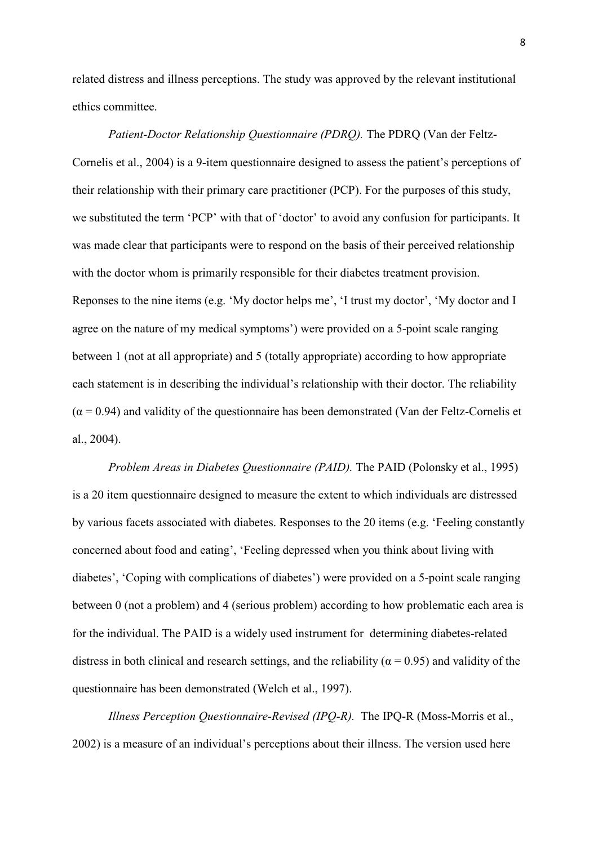related distress and illness perceptions. The study was approved by the relevant institutional ethics committee.

*Patient-Doctor Relationship Questionnaire (PDRQ).* The PDRQ (Van der Feltz-Cornelis et al., 2004) is a 9-item questionnaire designed to assess the patient's perceptions of their relationship with their primary care practitioner (PCP). For the purposes of this study, we substituted the term 'PCP' with that of 'doctor' to avoid any confusion for participants. It was made clear that participants were to respond on the basis of their perceived relationship with the doctor whom is primarily responsible for their diabetes treatment provision. Reponses to the nine items (e.g. 'My doctor helps me', 'I trust my doctor', 'My doctor and I agree on the nature of my medical symptoms') were provided on a 5-point scale ranging between 1 (not at all appropriate) and 5 (totally appropriate) according to how appropriate each statement is in describing the individual's relationship with their doctor. The reliability  $(\alpha = 0.94)$  and validity of the questionnaire has been demonstrated (Van der Feltz-Cornelis et al., 2004).

 *Problem Areas in Diabetes Questionnaire (PAID).* The PAID (Polonsky et al., 1995) is a 20 item questionnaire designed to measure the extent to which individuals are distressed by various facets associated with diabetes. Responses to the 20 items (e.g. 'Feeling constantly concerned about food and eating', 'Feeling depressed when you think about living with diabetes', 'Coping with complications of diabetes') were provided on a 5-point scale ranging between 0 (not a problem) and 4 (serious problem) according to how problematic each area is for the individual. The PAID is a widely used instrument for determining diabetes-related distress in both clinical and research settings, and the reliability ( $\alpha$  = 0.95) and validity of the questionnaire has been demonstrated (Welch et al., 1997).

 *Illness Perception Questionnaire-Revised (IPQ-R).* The IPQ-R (Moss-Morris et al., 2002) is a measure of an individual's perceptions about their illness. The version used here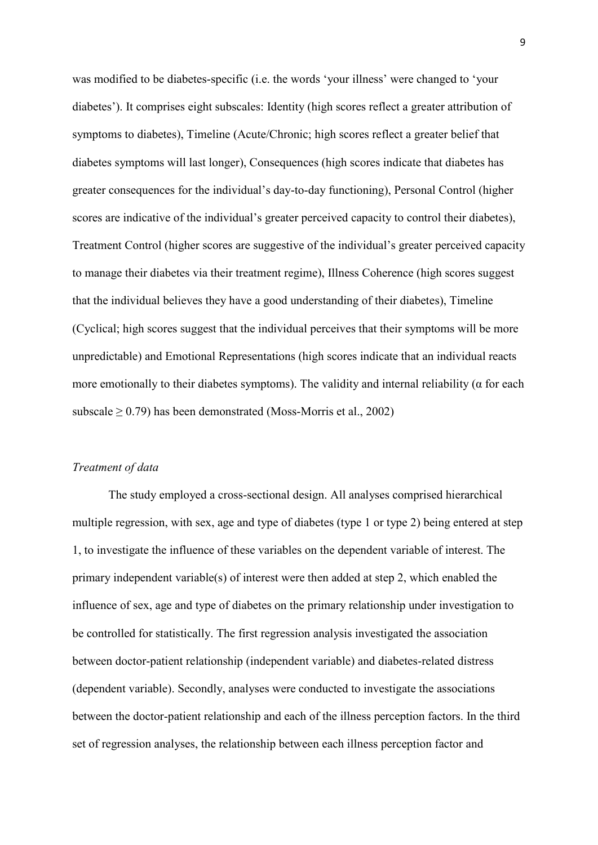was modified to be diabetes-specific (i.e. the words 'your illness' were changed to 'your diabetes'). It comprises eight subscales: Identity (high scores reflect a greater attribution of symptoms to diabetes), Timeline (Acute/Chronic; high scores reflect a greater belief that diabetes symptoms will last longer), Consequences (high scores indicate that diabetes has greater consequences for the individual's day-to-day functioning), Personal Control (higher scores are indicative of the individual's greater perceived capacity to control their diabetes), Treatment Control (higher scores are suggestive of the individual's greater perceived capacity to manage their diabetes via their treatment regime), Illness Coherence (high scores suggest that the individual believes they have a good understanding of their diabetes), Timeline (Cyclical; high scores suggest that the individual perceives that their symptoms will be more unpredictable) and Emotional Representations (high scores indicate that an individual reacts more emotionally to their diabetes symptoms). The validity and internal reliability ( $\alpha$  for each subscale  $\geq$  0.79) has been demonstrated (Moss-Morris et al., 2002)

#### *Treatment of data*

 The study employed a cross-sectional design. All analyses comprised hierarchical multiple regression, with sex, age and type of diabetes (type 1 or type 2) being entered at step 1, to investigate the influence of these variables on the dependent variable of interest. The primary independent variable(s) of interest were then added at step 2, which enabled the influence of sex, age and type of diabetes on the primary relationship under investigation to be controlled for statistically. The first regression analysis investigated the association between doctor-patient relationship (independent variable) and diabetes-related distress (dependent variable). Secondly, analyses were conducted to investigate the associations between the doctor-patient relationship and each of the illness perception factors. In the third set of regression analyses, the relationship between each illness perception factor and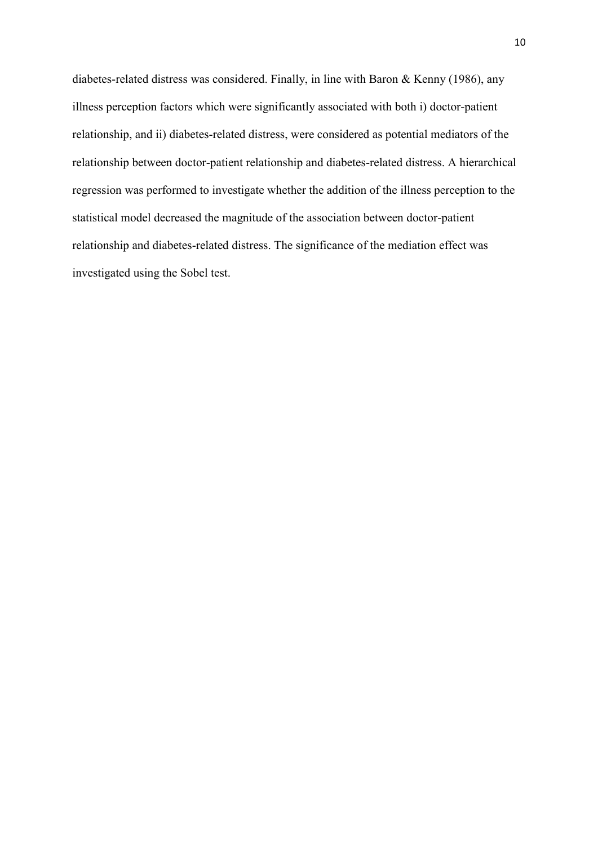diabetes-related distress was considered. Finally, in line with Baron & Kenny (1986), any illness perception factors which were significantly associated with both i) doctor-patient relationship, and ii) diabetes-related distress, were considered as potential mediators of the relationship between doctor-patient relationship and diabetes-related distress. A hierarchical regression was performed to investigate whether the addition of the illness perception to the statistical model decreased the magnitude of the association between doctor-patient relationship and diabetes-related distress. The significance of the mediation effect was investigated using the Sobel test.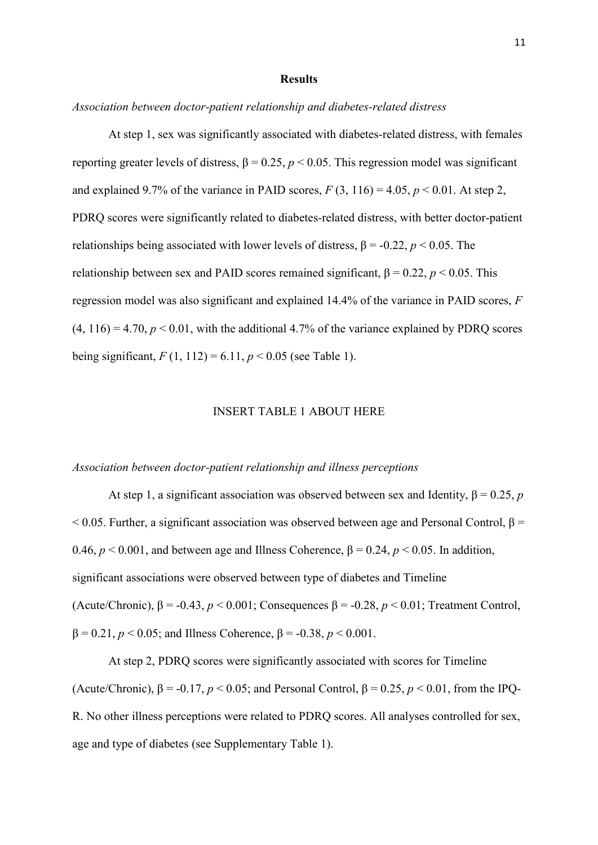#### **Results**

*Association between doctor-patient relationship and diabetes-related distress* 

 At step 1, sex was significantly associated with diabetes-related distress, with females reporting greater levels of distress,  $β = 0.25$ ,  $p < 0.05$ . This regression model was significant and explained 9.7% of the variance in PAID scores,  $F(3, 116) = 4.05$ ,  $p < 0.01$ . At step 2, PDRQ scores were significantly related to diabetes-related distress, with better doctor-patient relationships being associated with lower levels of distress,  $\beta = -0.22$ ,  $p < 0.05$ . The relationship between sex and PAID scores remained significant,  $β = 0.22$ ,  $p < 0.05$ . This regression model was also significant and explained 14.4% of the variance in PAID scores, *F*  $(4, 116) = 4.70$ ,  $p < 0.01$ , with the additional 4.7% of the variance explained by PDRO scores being significant,  $F(1, 112) = 6.11$ ,  $p < 0.05$  (see Table 1).

#### INSERT TABLE 1 ABOUT HERE

#### *Association between doctor-patient relationship and illness perceptions*

 At step 1, a significant association was observed between sex and Identity, β = 0.25, *p*  $<$  0.05. Further, a significant association was observed between age and Personal Control, β = 0.46,  $p < 0.001$ , and between age and Illness Coherence,  $\beta = 0.24$ ,  $p < 0.05$ . In addition, significant associations were observed between type of diabetes and Timeline (Acute/Chronic),  $\beta$  = -0.43,  $p < 0.001$ ; Consequences  $\beta$  = -0.28,  $p < 0.01$ ; Treatment Control, β = 0.21, *p* < 0.05; and Illness Coherence, β = -0.38, *p* < 0.001.

 At step 2, PDRQ scores were significantly associated with scores for Timeline (Acute/Chronic),  $\beta$  = -0.17,  $p < 0.05$ ; and Personal Control,  $\beta$  = 0.25,  $p < 0.01$ , from the IPQ-R. No other illness perceptions were related to PDRQ scores. All analyses controlled for sex, age and type of diabetes (see Supplementary Table 1).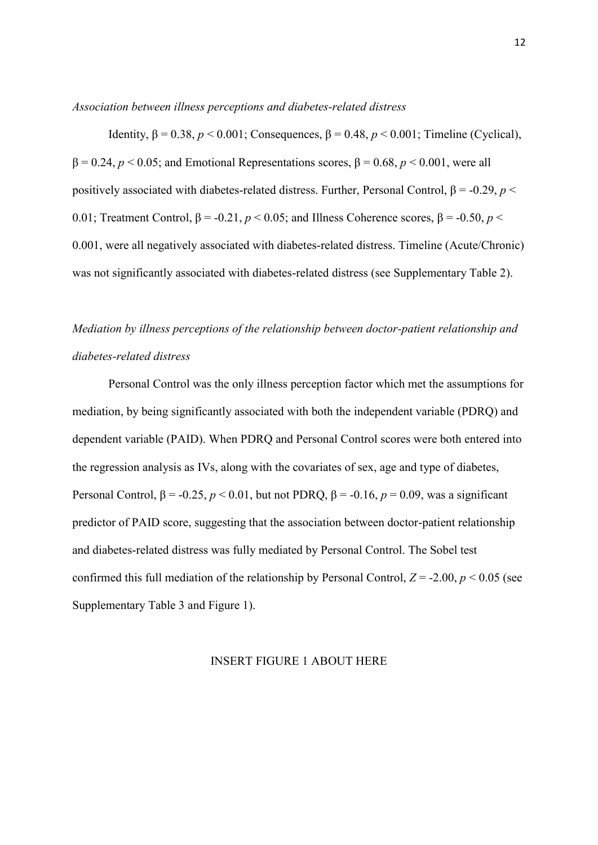*Association between illness perceptions and diabetes-related distress* 

Identity,  $β = 0.38$ ,  $p < 0.001$ ; Consequences,  $β = 0.48$ ,  $p < 0.001$ ; Timeline (Cyclical), β = 0.24, *p* < 0.05; and Emotional Representations scores, β = 0.68, *p* < 0.001, were all positively associated with diabetes-related distress. Further, Personal Control,  $β = -0.29$ ,  $p <$ 0.01; Treatment Control,  $β = -0.21$ ,  $p < 0.05$ ; and Illness Coherence scores,  $β = -0.50$ ,  $p <$ 0.001, were all negatively associated with diabetes-related distress. Timeline (Acute/Chronic) was not significantly associated with diabetes-related distress (see Supplementary Table 2).

## *Mediation by illness perceptions of the relationship between doctor-patient relationship and diabetes-related distress*

 Personal Control was the only illness perception factor which met the assumptions for mediation, by being significantly associated with both the independent variable (PDRQ) and dependent variable (PAID). When PDRQ and Personal Control scores were both entered into the regression analysis as IVs, along with the covariates of sex, age and type of diabetes, Personal Control,  $\beta$  = -0.25, *p* < 0.01, but not PDRQ,  $\beta$  = -0.16, *p* = 0.09, was a significant predictor of PAID score, suggesting that the association between doctor-patient relationship and diabetes-related distress was fully mediated by Personal Control. The Sobel test confirmed this full mediation of the relationship by Personal Control,  $Z = -2.00$ ,  $p < 0.05$  (see Supplementary Table 3 and Figure 1).

#### INSERT FIGURE 1 ABOUT HERE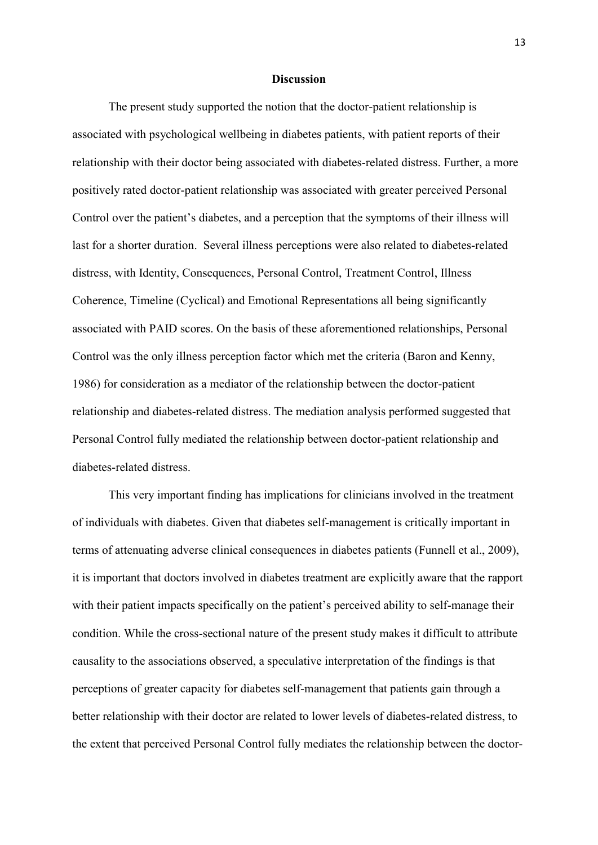#### **Discussion**

 The present study supported the notion that the doctor-patient relationship is associated with psychological wellbeing in diabetes patients, with patient reports of their relationship with their doctor being associated with diabetes-related distress. Further, a more positively rated doctor-patient relationship was associated with greater perceived Personal Control over the patient's diabetes, and a perception that the symptoms of their illness will last for a shorter duration. Several illness perceptions were also related to diabetes-related distress, with Identity, Consequences, Personal Control, Treatment Control, Illness Coherence, Timeline (Cyclical) and Emotional Representations all being significantly associated with PAID scores. On the basis of these aforementioned relationships, Personal Control was the only illness perception factor which met the criteria (Baron and Kenny, 1986) for consideration as a mediator of the relationship between the doctor-patient relationship and diabetes-related distress. The mediation analysis performed suggested that Personal Control fully mediated the relationship between doctor-patient relationship and diabetes-related distress.

This very important finding has implications for clinicians involved in the treatment of individuals with diabetes. Given that diabetes self-management is critically important in terms of attenuating adverse clinical consequences in diabetes patients (Funnell et al., 2009), it is important that doctors involved in diabetes treatment are explicitly aware that the rapport with their patient impacts specifically on the patient's perceived ability to self-manage their condition. While the cross-sectional nature of the present study makes it difficult to attribute causality to the associations observed, a speculative interpretation of the findings is that perceptions of greater capacity for diabetes self-management that patients gain through a better relationship with their doctor are related to lower levels of diabetes-related distress, to the extent that perceived Personal Control fully mediates the relationship between the doctor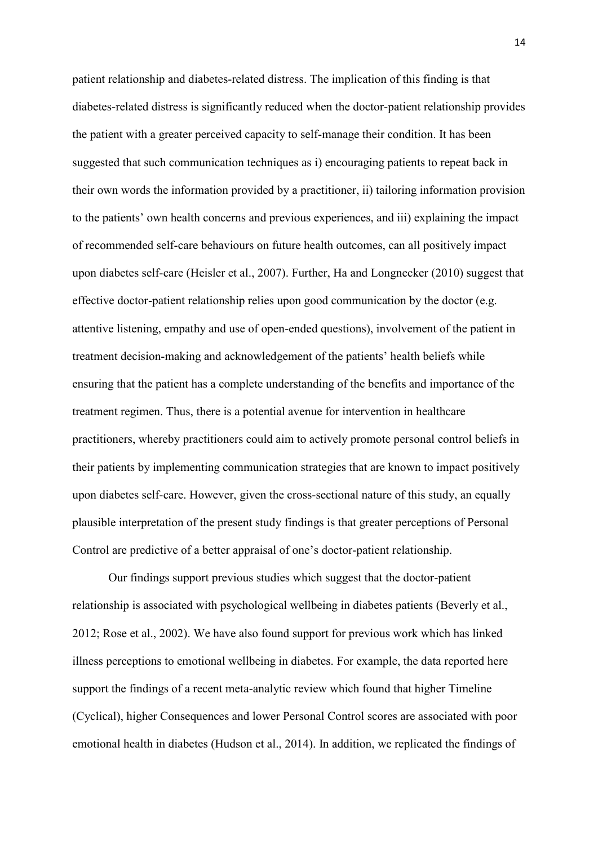patient relationship and diabetes-related distress. The implication of this finding is that diabetes-related distress is significantly reduced when the doctor-patient relationship provides the patient with a greater perceived capacity to self-manage their condition. It has been suggested that such communication techniques as i) encouraging patients to repeat back in their own words the information provided by a practitioner, ii) tailoring information provision to the patients' own health concerns and previous experiences, and iii) explaining the impact of recommended self-care behaviours on future health outcomes, can all positively impact upon diabetes self-care (Heisler et al., 2007). Further, Ha and Longnecker (2010) suggest that effective doctor-patient relationship relies upon good communication by the doctor (e.g. attentive listening, empathy and use of open-ended questions), involvement of the patient in treatment decision-making and acknowledgement of the patients' health beliefs while ensuring that the patient has a complete understanding of the benefits and importance of the treatment regimen. Thus, there is a potential avenue for intervention in healthcare practitioners, whereby practitioners could aim to actively promote personal control beliefs in their patients by implementing communication strategies that are known to impact positively upon diabetes self-care. However, given the cross-sectional nature of this study, an equally plausible interpretation of the present study findings is that greater perceptions of Personal Control are predictive of a better appraisal of one's doctor-patient relationship.

Our findings support previous studies which suggest that the doctor-patient relationship is associated with psychological wellbeing in diabetes patients (Beverly et al., 2012; Rose et al., 2002). We have also found support for previous work which has linked illness perceptions to emotional wellbeing in diabetes. For example, the data reported here support the findings of a recent meta-analytic review which found that higher Timeline (Cyclical), higher Consequences and lower Personal Control scores are associated with poor emotional health in diabetes (Hudson et al., 2014). In addition, we replicated the findings of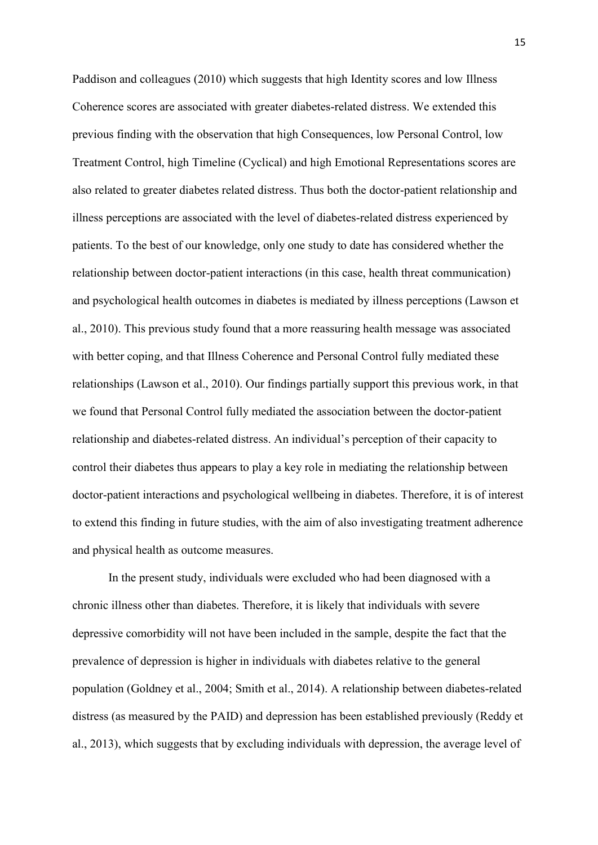Paddison and colleagues (2010) which suggests that high Identity scores and low Illness Coherence scores are associated with greater diabetes-related distress. We extended this previous finding with the observation that high Consequences, low Personal Control, low Treatment Control, high Timeline (Cyclical) and high Emotional Representations scores are also related to greater diabetes related distress. Thus both the doctor-patient relationship and illness perceptions are associated with the level of diabetes-related distress experienced by patients. To the best of our knowledge, only one study to date has considered whether the relationship between doctor-patient interactions (in this case, health threat communication) and psychological health outcomes in diabetes is mediated by illness perceptions (Lawson et al., 2010). This previous study found that a more reassuring health message was associated with better coping, and that Illness Coherence and Personal Control fully mediated these relationships (Lawson et al., 2010). Our findings partially support this previous work, in that we found that Personal Control fully mediated the association between the doctor-patient relationship and diabetes-related distress. An individual's perception of their capacity to control their diabetes thus appears to play a key role in mediating the relationship between doctor-patient interactions and psychological wellbeing in diabetes. Therefore, it is of interest to extend this finding in future studies, with the aim of also investigating treatment adherence and physical health as outcome measures.

In the present study, individuals were excluded who had been diagnosed with a chronic illness other than diabetes. Therefore, it is likely that individuals with severe depressive comorbidity will not have been included in the sample, despite the fact that the prevalence of depression is higher in individuals with diabetes relative to the general population (Goldney et al., 2004; Smith et al., 2014). A relationship between diabetes-related distress (as measured by the PAID) and depression has been established previously (Reddy et al., 2013), which suggests that by excluding individuals with depression, the average level of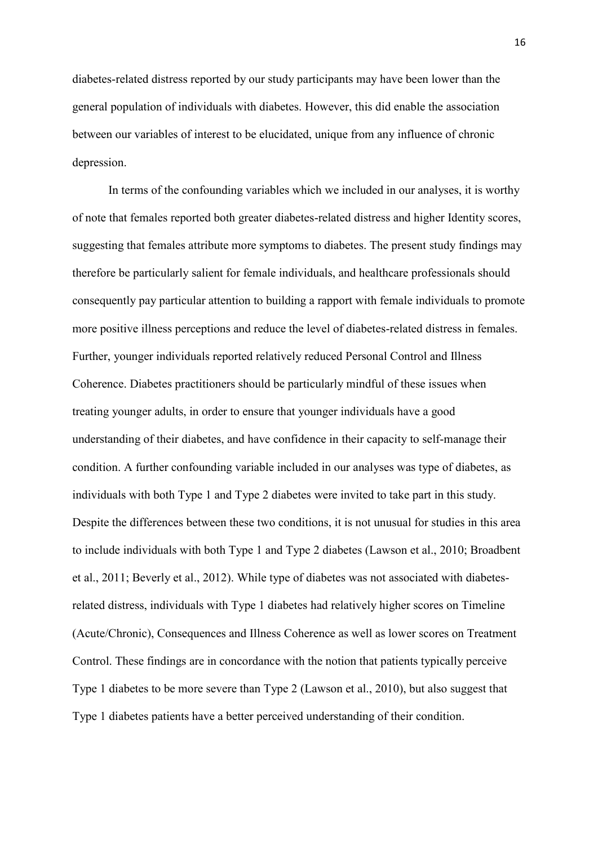diabetes-related distress reported by our study participants may have been lower than the general population of individuals with diabetes. However, this did enable the association between our variables of interest to be elucidated, unique from any influence of chronic depression.

In terms of the confounding variables which we included in our analyses, it is worthy of note that females reported both greater diabetes-related distress and higher Identity scores, suggesting that females attribute more symptoms to diabetes. The present study findings may therefore be particularly salient for female individuals, and healthcare professionals should consequently pay particular attention to building a rapport with female individuals to promote more positive illness perceptions and reduce the level of diabetes-related distress in females. Further, younger individuals reported relatively reduced Personal Control and Illness Coherence. Diabetes practitioners should be particularly mindful of these issues when treating younger adults, in order to ensure that younger individuals have a good understanding of their diabetes, and have confidence in their capacity to self-manage their condition. A further confounding variable included in our analyses was type of diabetes, as individuals with both Type 1 and Type 2 diabetes were invited to take part in this study. Despite the differences between these two conditions, it is not unusual for studies in this area to include individuals with both Type 1 and Type 2 diabetes (Lawson et al., 2010; Broadbent et al., 2011; Beverly et al., 2012). While type of diabetes was not associated with diabetesrelated distress, individuals with Type 1 diabetes had relatively higher scores on Timeline (Acute/Chronic), Consequences and Illness Coherence as well as lower scores on Treatment Control. These findings are in concordance with the notion that patients typically perceive Type 1 diabetes to be more severe than Type 2 (Lawson et al., 2010), but also suggest that Type 1 diabetes patients have a better perceived understanding of their condition.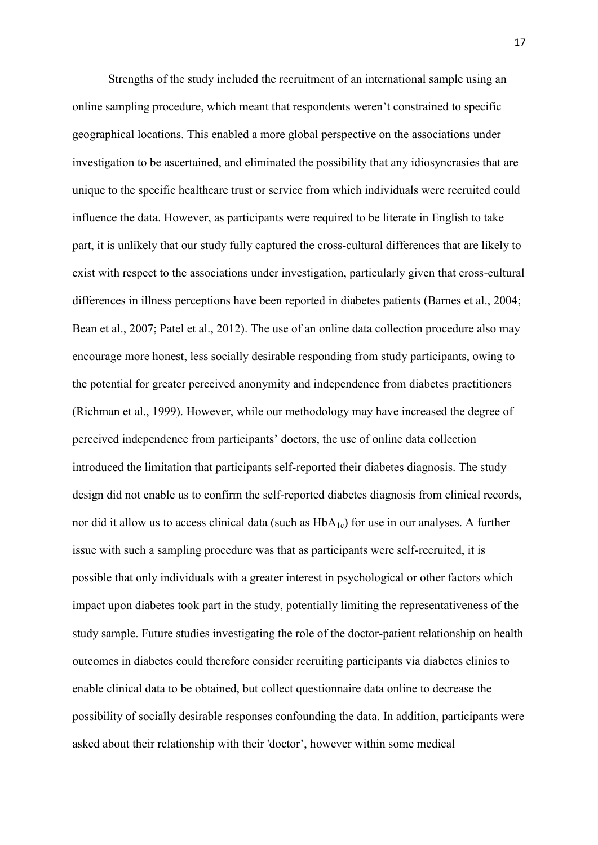Strengths of the study included the recruitment of an international sample using an online sampling procedure, which meant that respondents weren't constrained to specific geographical locations. This enabled a more global perspective on the associations under investigation to be ascertained, and eliminated the possibility that any idiosyncrasies that are unique to the specific healthcare trust or service from which individuals were recruited could influence the data. However, as participants were required to be literate in English to take part, it is unlikely that our study fully captured the cross-cultural differences that are likely to exist with respect to the associations under investigation, particularly given that cross-cultural differences in illness perceptions have been reported in diabetes patients (Barnes et al., 2004; Bean et al., 2007; Patel et al., 2012). The use of an online data collection procedure also may encourage more honest, less socially desirable responding from study participants, owing to the potential for greater perceived anonymity and independence from diabetes practitioners (Richman et al., 1999). However, while our methodology may have increased the degree of perceived independence from participants' doctors, the use of online data collection introduced the limitation that participants self-reported their diabetes diagnosis. The study design did not enable us to confirm the self-reported diabetes diagnosis from clinical records, nor did it allow us to access clinical data (such as  $HbA_{1c}$ ) for use in our analyses. A further issue with such a sampling procedure was that as participants were self-recruited, it is possible that only individuals with a greater interest in psychological or other factors which impact upon diabetes took part in the study, potentially limiting the representativeness of the study sample. Future studies investigating the role of the doctor-patient relationship on health outcomes in diabetes could therefore consider recruiting participants via diabetes clinics to enable clinical data to be obtained, but collect questionnaire data online to decrease the possibility of socially desirable responses confounding the data. In addition, participants were asked about their relationship with their 'doctor', however within some medical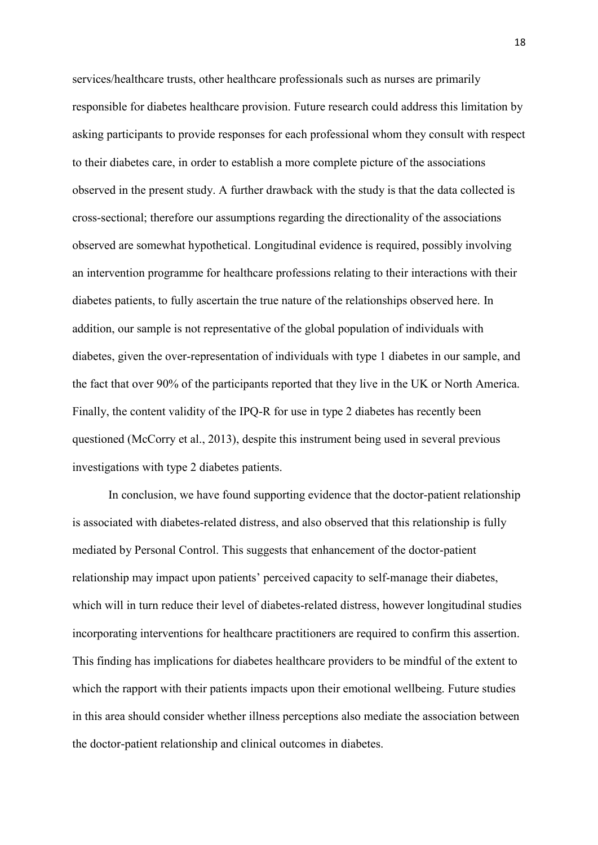services/healthcare trusts, other healthcare professionals such as nurses are primarily responsible for diabetes healthcare provision. Future research could address this limitation by asking participants to provide responses for each professional whom they consult with respect to their diabetes care, in order to establish a more complete picture of the associations observed in the present study. A further drawback with the study is that the data collected is cross-sectional; therefore our assumptions regarding the directionality of the associations observed are somewhat hypothetical. Longitudinal evidence is required, possibly involving an intervention programme for healthcare professions relating to their interactions with their diabetes patients, to fully ascertain the true nature of the relationships observed here. In addition, our sample is not representative of the global population of individuals with diabetes, given the over-representation of individuals with type 1 diabetes in our sample, and the fact that over 90% of the participants reported that they live in the UK or North America. Finally, the content validity of the IPQ-R for use in type 2 diabetes has recently been questioned (McCorry et al., 2013), despite this instrument being used in several previous investigations with type 2 diabetes patients.

In conclusion, we have found supporting evidence that the doctor-patient relationship is associated with diabetes-related distress, and also observed that this relationship is fully mediated by Personal Control. This suggests that enhancement of the doctor-patient relationship may impact upon patients' perceived capacity to self-manage their diabetes, which will in turn reduce their level of diabetes-related distress, however longitudinal studies incorporating interventions for healthcare practitioners are required to confirm this assertion. This finding has implications for diabetes healthcare providers to be mindful of the extent to which the rapport with their patients impacts upon their emotional wellbeing. Future studies in this area should consider whether illness perceptions also mediate the association between the doctor-patient relationship and clinical outcomes in diabetes.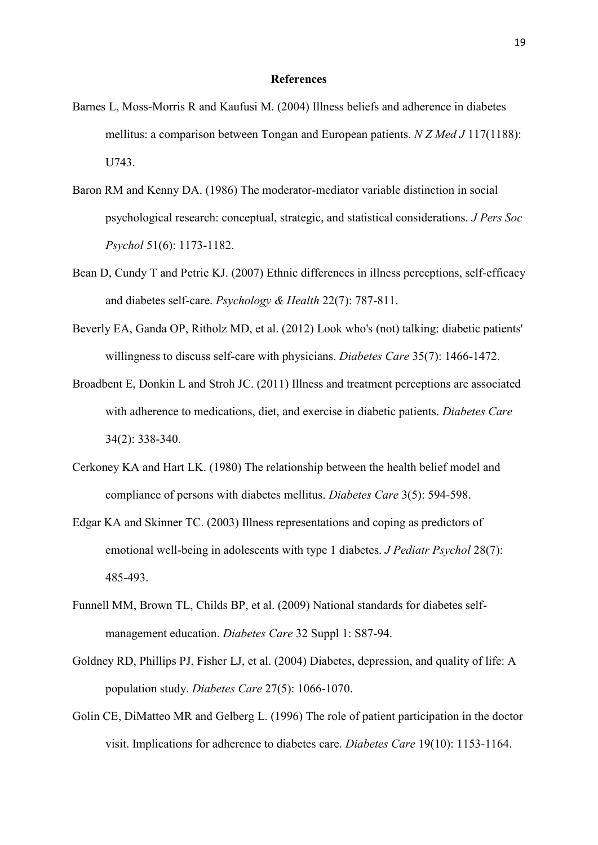#### **References**

- Barnes L, Moss-Morris R and Kaufusi M. (2004) Illness beliefs and adherence in diabetes mellitus: a comparison between Tongan and European patients. *N Z Med J* 117(1188): U743.
- Baron RM and Kenny DA. (1986) The moderator-mediator variable distinction in social psychological research: conceptual, strategic, and statistical considerations. *J Pers Soc Psychol* 51(6): 1173-1182.
- Bean D, Cundy T and Petrie KJ. (2007) Ethnic differences in illness perceptions, self-efficacy and diabetes self-care. *Psychology & Health* 22(7): 787-811.
- Beverly EA, Ganda OP, Ritholz MD, et al. (2012) Look who's (not) talking: diabetic patients' willingness to discuss self-care with physicians. *Diabetes Care* 35(7): 1466-1472.
- Broadbent E, Donkin L and Stroh JC. (2011) Illness and treatment perceptions are associated with adherence to medications, diet, and exercise in diabetic patients. *Diabetes Care* 34(2): 338-340.
- Cerkoney KA and Hart LK. (1980) The relationship between the health belief model and compliance of persons with diabetes mellitus. *Diabetes Care* 3(5): 594-598.
- Edgar KA and Skinner TC. (2003) Illness representations and coping as predictors of emotional well-being in adolescents with type 1 diabetes. *J Pediatr Psychol* 28(7): 485-493.
- Funnell MM, Brown TL, Childs BP, et al. (2009) National standards for diabetes selfmanagement education. *Diabetes Care* 32 Suppl 1: S87-94.
- Goldney RD, Phillips PJ, Fisher LJ, et al. (2004) Diabetes, depression, and quality of life: A population study. *Diabetes Care* 27(5): 1066-1070.
- Golin CE, DiMatteo MR and Gelberg L. (1996) The role of patient participation in the doctor visit. Implications for adherence to diabetes care. *Diabetes Care* 19(10): 1153-1164.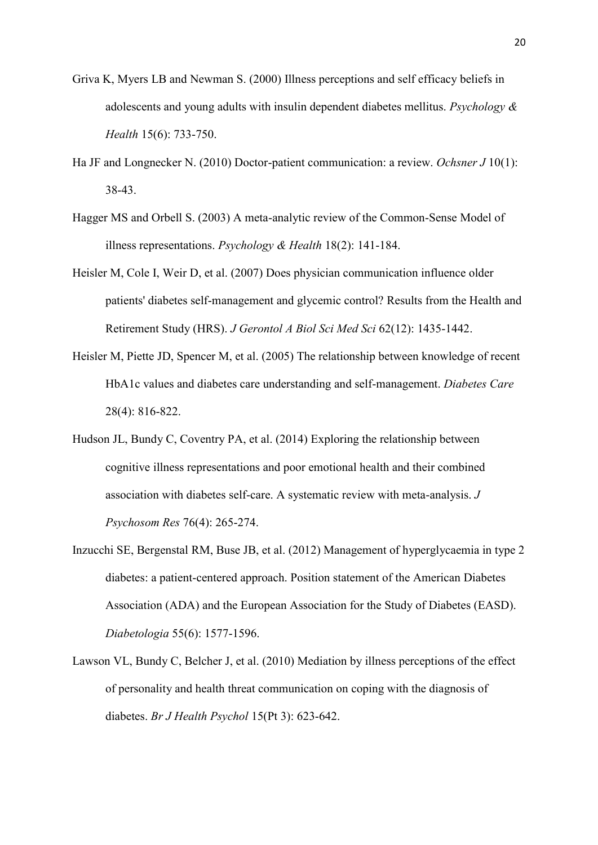- Griva K, Myers LB and Newman S. (2000) Illness perceptions and self efficacy beliefs in adolescents and young adults with insulin dependent diabetes mellitus. *Psychology & Health* 15(6): 733-750.
- Ha JF and Longnecker N. (2010) Doctor-patient communication: a review. *Ochsner J* 10(1): 38-43.
- Hagger MS and Orbell S. (2003) A meta-analytic review of the Common-Sense Model of illness representations. *Psychology & Health* 18(2): 141-184.
- Heisler M, Cole I, Weir D, et al. (2007) Does physician communication influence older patients' diabetes self-management and glycemic control? Results from the Health and Retirement Study (HRS). *J Gerontol A Biol Sci Med Sci* 62(12): 1435-1442.
- Heisler M, Piette JD, Spencer M, et al. (2005) The relationship between knowledge of recent HbA1c values and diabetes care understanding and self-management. *Diabetes Care* 28(4): 816-822.
- Hudson JL, Bundy C, Coventry PA, et al. (2014) Exploring the relationship between cognitive illness representations and poor emotional health and their combined association with diabetes self-care. A systematic review with meta-analysis. *J Psychosom Res* 76(4): 265-274.
- Inzucchi SE, Bergenstal RM, Buse JB, et al. (2012) Management of hyperglycaemia in type 2 diabetes: a patient-centered approach. Position statement of the American Diabetes Association (ADA) and the European Association for the Study of Diabetes (EASD). *Diabetologia* 55(6): 1577-1596.
- Lawson VL, Bundy C, Belcher J, et al. (2010) Mediation by illness perceptions of the effect of personality and health threat communication on coping with the diagnosis of diabetes. *Br J Health Psychol* 15(Pt 3): 623-642.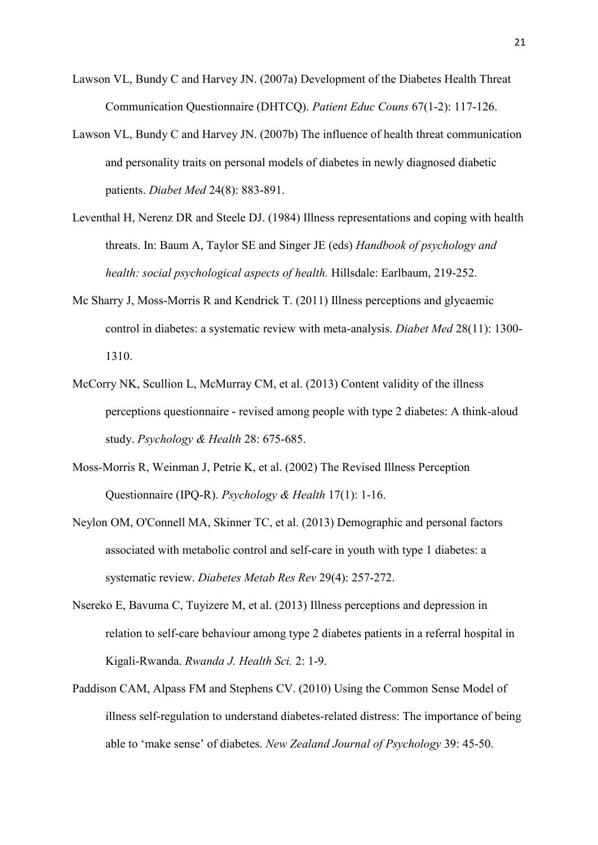- Lawson VL, Bundy C and Harvey JN. (2007a) Development of the Diabetes Health Threat Communication Questionnaire (DHTCQ). *Patient Educ Couns* 67(1-2): 117-126.
- Lawson VL, Bundy C and Harvey JN. (2007b) The influence of health threat communication and personality traits on personal models of diabetes in newly diagnosed diabetic patients. *Diabet Med* 24(8): 883-891.
- Leventhal H, Nerenz DR and Steele DJ. (1984) Illness representations and coping with health threats. In: Baum A, Taylor SE and Singer JE (eds) *Handbook of psychology and health: social psychological aspects of health.* Hillsdale: Earlbaum, 219-252.
- Mc Sharry J, Moss-Morris R and Kendrick T. (2011) Illness perceptions and glycaemic control in diabetes: a systematic review with meta-analysis. *Diabet Med* 28(11): 1300- 1310.
- McCorry NK, Scullion L, McMurray CM, et al. (2013) Content validity of the illness perceptions questionnaire - revised among people with type 2 diabetes: A think-aloud study. *Psychology & Health* 28: 675-685.
- Moss-Morris R, Weinman J, Petrie K, et al. (2002) The Revised Illness Perception Questionnaire (IPQ-R). *Psychology & Health* 17(1): 1-16.
- Neylon OM, O'Connell MA, Skinner TC, et al. (2013) Demographic and personal factors associated with metabolic control and self-care in youth with type 1 diabetes: a systematic review. *Diabetes Metab Res Rev* 29(4): 257-272.
- Nsereko E, Bavuma C, Tuyizere M, et al. (2013) Illness perceptions and depression in relation to self-care behaviour among type 2 diabetes patients in a referral hospital in Kigali-Rwanda. *Rwanda J. Health Sci.* 2: 1-9.
- Paddison CAM, Alpass FM and Stephens CV. (2010) Using the Common Sense Model of illness self-regulation to understand diabetes-related distress: The importance of being able to 'make sense' of diabetes. *New Zealand Journal of Psychology* 39: 45-50.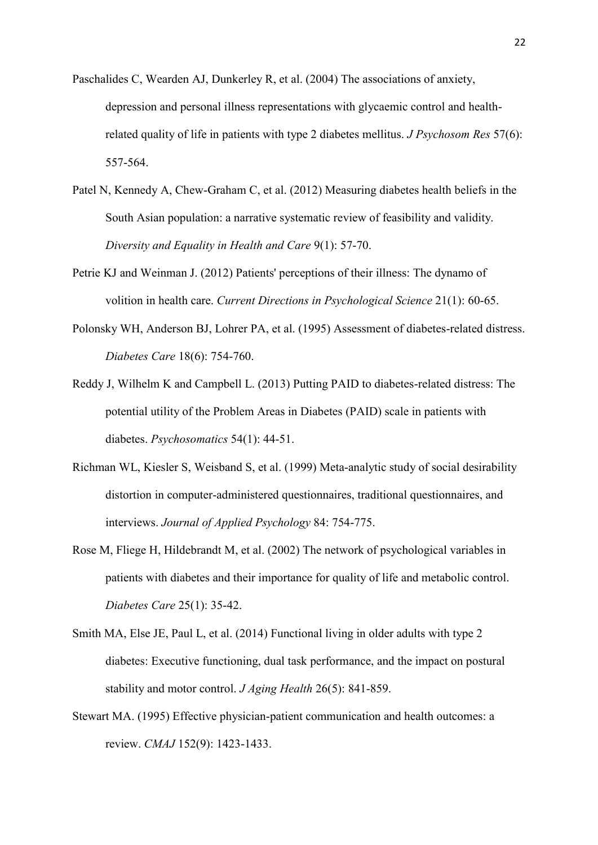- Paschalides C, Wearden AJ, Dunkerley R, et al. (2004) The associations of anxiety, depression and personal illness representations with glycaemic control and healthrelated quality of life in patients with type 2 diabetes mellitus. *J Psychosom Res* 57(6): 557-564.
- Patel N, Kennedy A, Chew-Graham C, et al. (2012) Measuring diabetes health beliefs in the South Asian population: a narrative systematic review of feasibility and validity. *Diversity and Equality in Health and Care* 9(1): 57-70.
- Petrie KJ and Weinman J. (2012) Patients' perceptions of their illness: The dynamo of volition in health care. *Current Directions in Psychological Science* 21(1): 60-65.
- Polonsky WH, Anderson BJ, Lohrer PA, et al. (1995) Assessment of diabetes-related distress. *Diabetes Care* 18(6): 754-760.
- Reddy J, Wilhelm K and Campbell L. (2013) Putting PAID to diabetes-related distress: The potential utility of the Problem Areas in Diabetes (PAID) scale in patients with diabetes. *Psychosomatics* 54(1): 44-51.
- Richman WL, Kiesler S, Weisband S, et al. (1999) Meta-analytic study of social desirability distortion in computer-administered questionnaires, traditional questionnaires, and interviews. *Journal of Applied Psychology* 84: 754-775.
- Rose M, Fliege H, Hildebrandt M, et al. (2002) The network of psychological variables in patients with diabetes and their importance for quality of life and metabolic control. *Diabetes Care* 25(1): 35-42.
- Smith MA, Else JE, Paul L, et al. (2014) Functional living in older adults with type 2 diabetes: Executive functioning, dual task performance, and the impact on postural stability and motor control. *J Aging Health* 26(5): 841-859.
- Stewart MA. (1995) Effective physician-patient communication and health outcomes: a review. *CMAJ* 152(9): 1423-1433.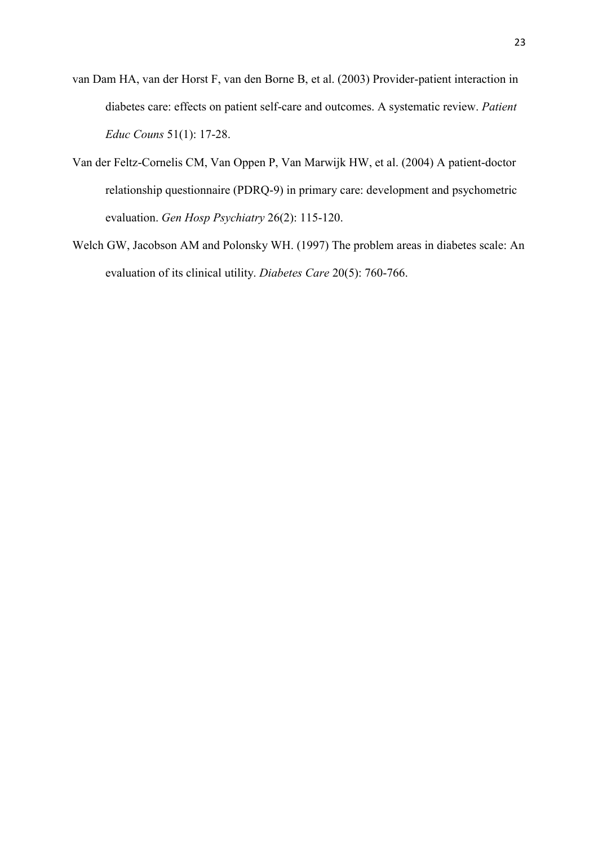- van Dam HA, van der Horst F, van den Borne B, et al. (2003) Provider-patient interaction in diabetes care: effects on patient self-care and outcomes. A systematic review. *Patient Educ Couns* 51(1): 17-28.
- Van der Feltz-Cornelis CM, Van Oppen P, Van Marwijk HW, et al. (2004) A patient-doctor relationship questionnaire (PDRQ-9) in primary care: development and psychometric evaluation. *Gen Hosp Psychiatry* 26(2): 115-120.
- Welch GW, Jacobson AM and Polonsky WH. (1997) The problem areas in diabetes scale: An evaluation of its clinical utility. *Diabetes Care* 20(5): 760-766.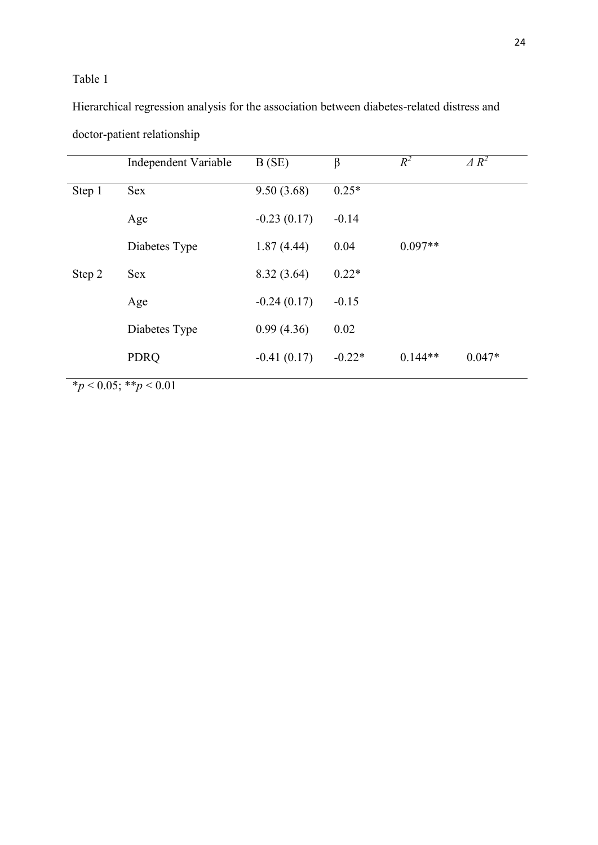### Table 1

Hierarchical regression analysis for the association between diabetes-related distress and doctor-patient relationship

|        | Independent Variable | B(SE)         | β        | $R^2$     | $\triangle R^2$ |
|--------|----------------------|---------------|----------|-----------|-----------------|
| Step 1 | <b>Sex</b>           | 9.50(3.68)    | $0.25*$  |           |                 |
|        | Age                  | $-0.23(0.17)$ | $-0.14$  |           |                 |
|        | Diabetes Type        | 1.87(4.44)    | 0.04     | $0.097**$ |                 |
| Step 2 | <b>Sex</b>           | 8.32(3.64)    | $0.22*$  |           |                 |
|        | Age                  | $-0.24(0.17)$ | $-0.15$  |           |                 |
|        | Diabetes Type        | 0.99(4.36)    | 0.02     |           |                 |
|        | <b>PDRQ</b>          | $-0.41(0.17)$ | $-0.22*$ | $0.144**$ | $0.047*$        |

24